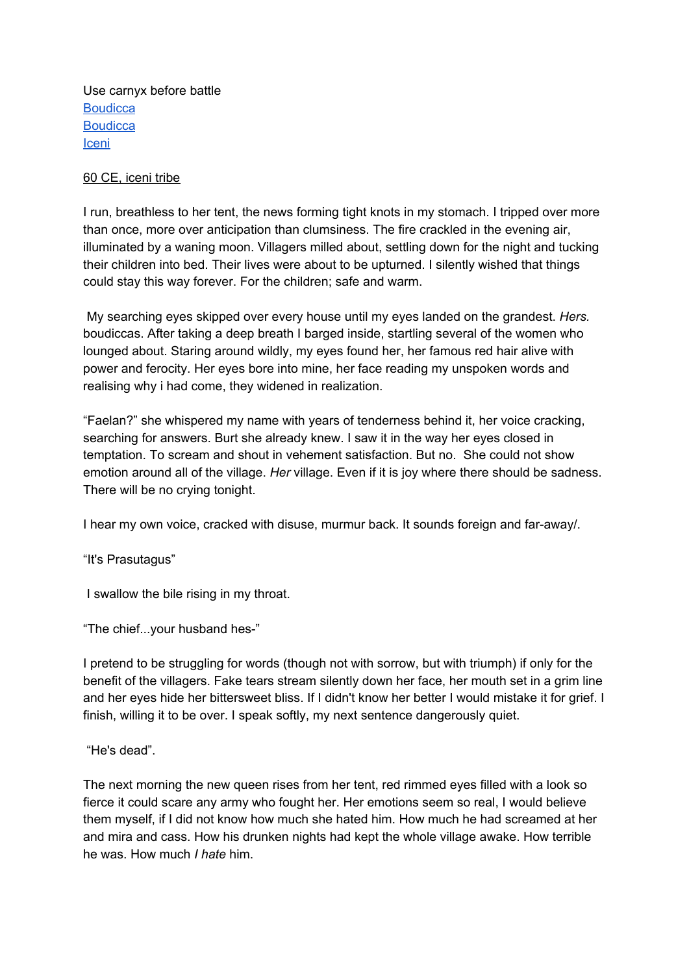Use carnyx before battle **[Boudicca](https://www.history.com/news/who-was-boudica#:~:text=Boudica%20(also%20written%20as%20Boadicea,in%20A.D.%2060%20or%2061.&text=When%20the%20Romans%20conquered%20southern,forced%20ally%20of%20the%20Empire.) [Boudicca](https://www.ancient.eu/Boudicca/)** [Iceni](https://en.wikipedia.org/wiki/Iceni)

## 60 CE, iceni tribe

I run, breathless to her tent, the news forming tight knots in my stomach. I tripped over more than once, more over anticipation than clumsiness. The fire crackled in the evening air, illuminated by a waning moon. Villagers milled about, settling down for the night and tucking their children into bed. Their lives were about to be upturned. I silently wished that things could stay this way forever. For the children; safe and warm.

My searching eyes skipped over every house until my eyes landed on the grandest. *Hers.* boudiccas. After taking a deep breath I barged inside, startling several of the women who lounged about. Staring around wildly, my eyes found her, her famous red hair alive with power and ferocity. Her eyes bore into mine, her face reading my unspoken words and realising why i had come, they widened in realization.

"Faelan?" she whispered my name with years of tenderness behind it, her voice cracking, searching for answers. Burt she already knew. I saw it in the way her eyes closed in temptation. To scream and shout in vehement satisfaction. But no. She could not show emotion around all of the village. *Her* village. Even if it is joy where there should be sadness. There will be no crying tonight.

I hear my own voice, cracked with disuse, murmur back. It sounds foreign and far-away/.

"It's Prasutagus"

I swallow the bile rising in my throat.

"The chief...your husband hes-"

I pretend to be struggling for words (though not with sorrow, but with triumph) if only for the benefit of the villagers. Fake tears stream silently down her face, her mouth set in a grim line and her eyes hide her bittersweet bliss. If I didn't know her better I would mistake it for grief. I finish, willing it to be over. I speak softly, my next sentence dangerously quiet.

"He's dead".

The next morning the new queen rises from her tent, red rimmed eyes filled with a look so fierce it could scare any army who fought her. Her emotions seem so real, I would believe them myself, if I did not know how much she hated him. How much he had screamed at her and mira and cass. How his drunken nights had kept the whole village awake. How terrible he was. How much *I hate* him.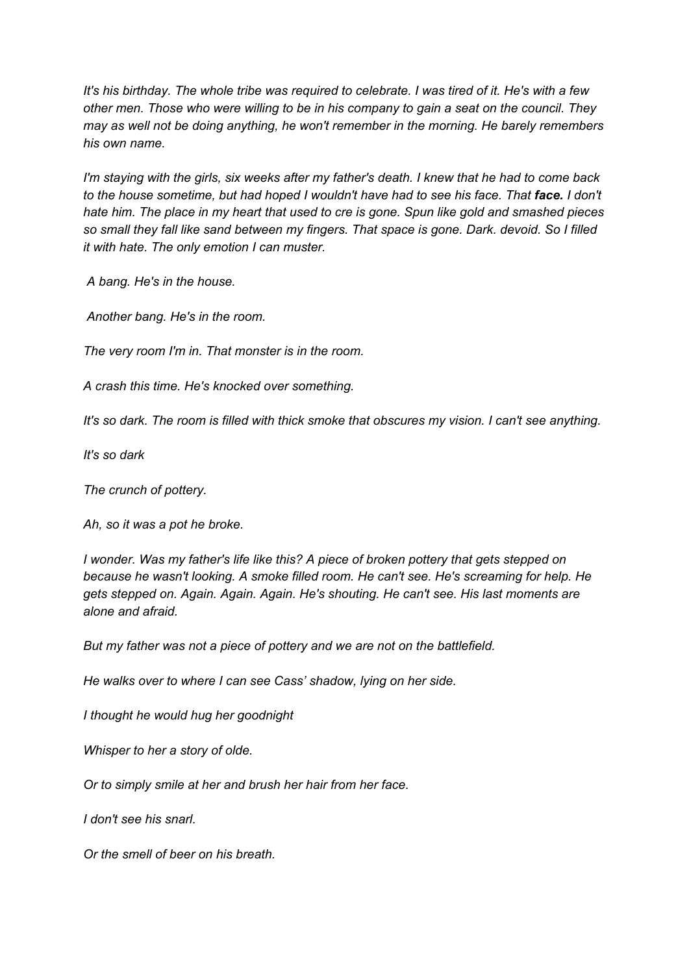It's his birthday. The whole tribe was required to celebrate. I was tired of it. He's with a few *other men. Those who were willing to be in his company to gain a seat on the council. They may as well not be doing anything, he won't remember in the morning. He barely remembers his own name.*

I'm staying with the girls, six weeks after my father's death. I knew that he had to come back to the house sometime, but had hoped I wouldn't have had to see his face. That face. I don't *hate him. The place in my heart that used to cre is gone. Spun like gold and smashed pieces so small they fall like sand between my fingers. That space is gone. Dark. devoid. So I filled it with hate. The only emotion I can muster.*

*A bang. He's in the house.*

*Another bang. He's in the room.*

*The very room I'm in. That monster is in the room.*

*A crash this time. He's knocked over something.*

*It's so dark. The room is filled with thick smoke that obscures my vision. I can't see anything.*

*It's so dark*

*The crunch of pottery.*

*Ah, so it was a pot he broke.*

*I wonder. Was my father's life like this? A piece of broken pottery that gets stepped on because he wasn't looking. A smoke filled room. He can't see. He's screaming for help. He gets stepped on. Again. Again. Again. He's shouting. He can't see. His last moments are alone and afraid.*

*But my father was not a piece of pottery and we are not on the battlefield.*

*He walks over to where I can see Cass' shadow, lying on her side.*

*I thought he would hug her goodnight*

*Whisper to her a story of olde.*

*Or to simply smile at her and brush her hair from her face.*

*I don't see his snarl.*

*Or the smell of beer on his breath.*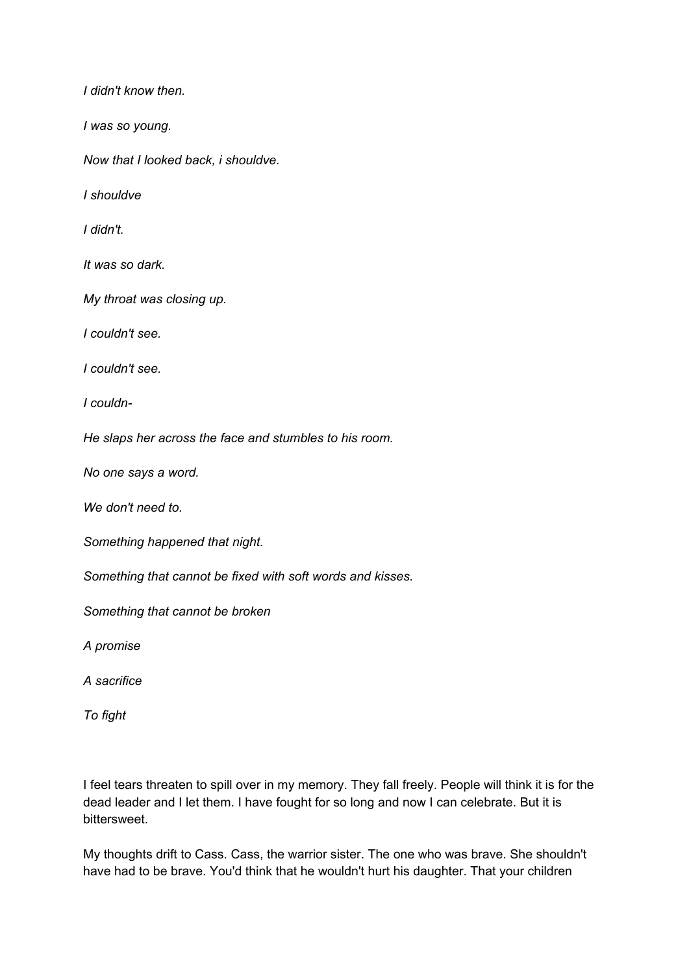*I didn't know then.*

*I was so young.*

*Now that I looked back, i shouldve.*

*I shouldve*

*I didn't.*

*It was so dark.*

*My throat was closing up.*

*I couldn't see.*

*I couldn't see.*

*I couldn-*

*He slaps her across the face and stumbles to his room.*

*No one says a word.*

*We don't need to.*

*Something happened that night.*

*Something that cannot be fixed with soft words and kisses.*

*Something that cannot be broken*

*A promise*

*A sacrifice*

*To fight*

I feel tears threaten to spill over in my memory. They fall freely. People will think it is for the dead leader and I let them. I have fought for so long and now I can celebrate. But it is bittersweet.

My thoughts drift to Cass. Cass, the warrior sister. The one who was brave. She shouldn't have had to be brave. You'd think that he wouldn't hurt his daughter. That your children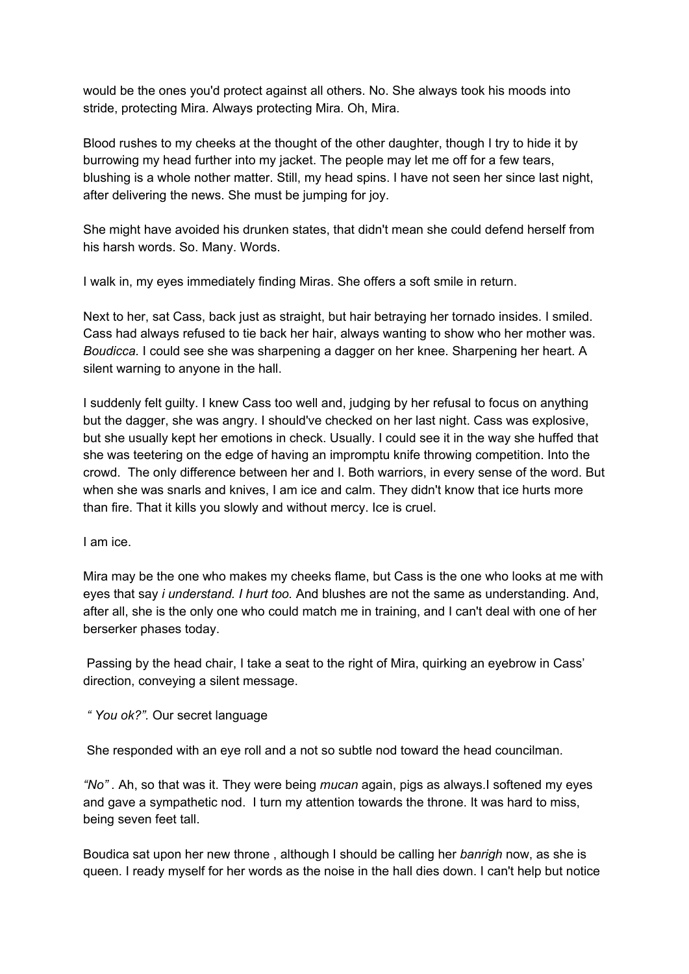would be the ones you'd protect against all others. No. She always took his moods into stride, protecting Mira. Always protecting Mira. Oh, Mira.

Blood rushes to my cheeks at the thought of the other daughter, though I try to hide it by burrowing my head further into my jacket. The people may let me off for a few tears, blushing is a whole nother matter. Still, my head spins. I have not seen her since last night, after delivering the news. She must be jumping for joy.

She might have avoided his drunken states, that didn't mean she could defend herself from his harsh words. So. Many. Words.

I walk in, my eyes immediately finding Miras. She offers a soft smile in return.

Next to her, sat Cass, back just as straight, but hair betraying her tornado insides. I smiled. Cass had always refused to tie back her hair, always wanting to show who her mother was. *Boudicca.* I could see she was sharpening a dagger on her knee. Sharpening her heart. A silent warning to anyone in the hall.

I suddenly felt guilty. I knew Cass too well and, judging by her refusal to focus on anything but the dagger, she was angry. I should've checked on her last night. Cass was explosive, but she usually kept her emotions in check. Usually. I could see it in the way she huffed that she was teetering on the edge of having an impromptu knife throwing competition. Into the crowd. The only difference between her and I. Both warriors, in every sense of the word. But when she was snarls and knives, I am ice and calm. They didn't know that ice hurts more than fire. That it kills you slowly and without mercy. Ice is cruel.

I am ice.

Mira may be the one who makes my cheeks flame, but Cass is the one who looks at me with eyes that say *i understand. I hurt too.* And blushes are not the same as understanding. And, after all, she is the only one who could match me in training, and I can't deal with one of her berserker phases today.

Passing by the head chair, I take a seat to the right of Mira, quirking an eyebrow in Cass' direction, conveying a silent message.

*" You ok?".* Our secret language

She responded with an eye roll and a not so subtle nod toward the head councilman.

*"No" .* Ah, so that was it. They were being *mucan* again, pigs as always.I softened my eyes and gave a sympathetic nod. I turn my attention towards the throne. It was hard to miss, being seven feet tall.

Boudica sat upon her new throne , although I should be calling her *banrigh* now, as she is queen. I ready myself for her words as the noise in the hall dies down. I can't help but notice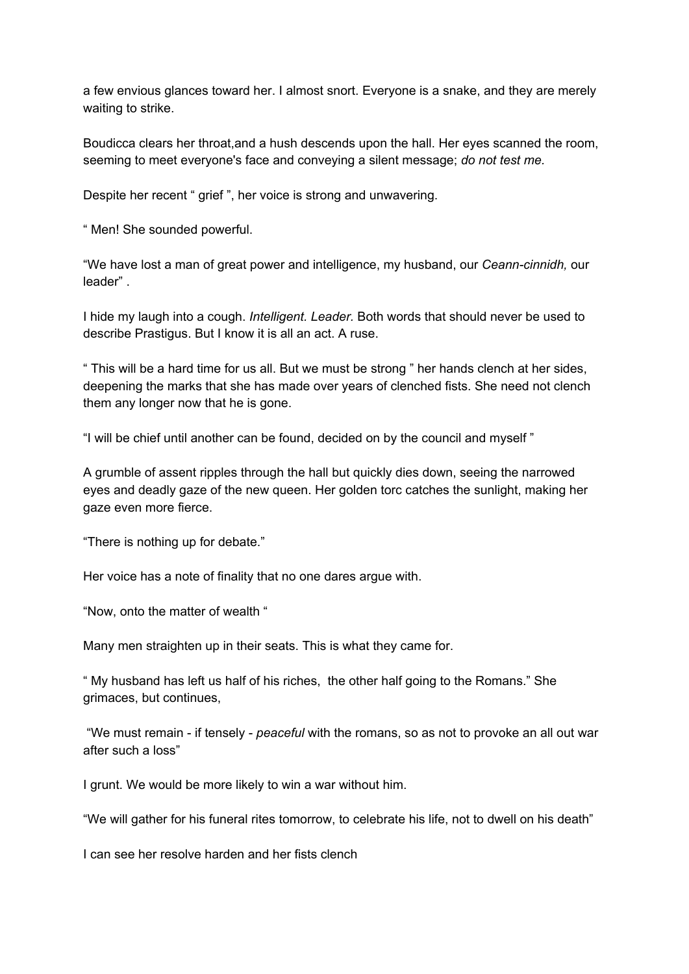a few envious glances toward her. I almost snort. Everyone is a snake, and they are merely waiting to strike.

Boudicca clears her throat,and a hush descends upon the hall. Her eyes scanned the room, seeming to meet everyone's face and conveying a silent message; *do not test me.*

Despite her recent " grief ", her voice is strong and unwavering.

" Men! She sounded powerful.

"We have lost a man of great power and intelligence, my husband, our *Ceann-cinnidh,* our leader" .

I hide my laugh into a cough. *Intelligent. Leader.* Both words that should never be used to describe Prastigus. But I know it is all an act. A ruse.

" This will be a hard time for us all. But we must be strong " her hands clench at her sides, deepening the marks that she has made over years of clenched fists. She need not clench them any longer now that he is gone.

"I will be chief until another can be found, decided on by the council and myself "

A grumble of assent ripples through the hall but quickly dies down, seeing the narrowed eyes and deadly gaze of the new queen. Her golden torc catches the sunlight, making her gaze even more fierce.

"There is nothing up for debate."

Her voice has a note of finality that no one dares argue with.

"Now, onto the matter of wealth "

Many men straighten up in their seats. This is what they came for.

" My husband has left us half of his riches, the other half going to the Romans." She grimaces, but continues,

"We must remain - if tensely - *peaceful* with the romans, so as not to provoke an all out war after such a loss"

I grunt. We would be more likely to win a war without him.

"We will gather for his funeral rites tomorrow, to celebrate his life, not to dwell on his death"

I can see her resolve harden and her fists clench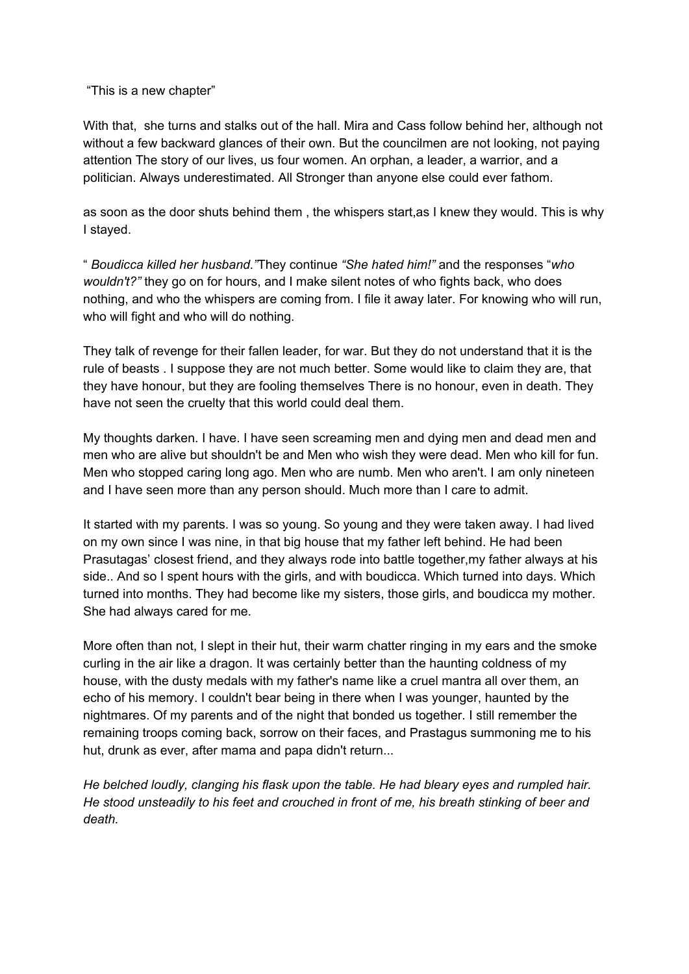"This is a new chapter"

With that, she turns and stalks out of the hall. Mira and Cass follow behind her, although not without a few backward glances of their own. But the councilmen are not looking, not paying attention The story of our lives, us four women. An orphan, a leader, a warrior, and a politician. Always underestimated. All Stronger than anyone else could ever fathom.

as soon as the door shuts behind them , the whispers start,as I knew they would. This is why I stayed.

" *Boudicca killed her husband."*They continue *"She hated him!"* and the responses "*who wouldn't?"* they go on for hours, and I make silent notes of who fights back, who does nothing, and who the whispers are coming from. I file it away later. For knowing who will run, who will fight and who will do nothing.

They talk of revenge for their fallen leader, for war. But they do not understand that it is the rule of beasts . I suppose they are not much better. Some would like to claim they are, that they have honour, but they are fooling themselves There is no honour, even in death. They have not seen the cruelty that this world could deal them.

My thoughts darken. I have. I have seen screaming men and dying men and dead men and men who are alive but shouldn't be and Men who wish they were dead. Men who kill for fun. Men who stopped caring long ago. Men who are numb. Men who aren't. I am only nineteen and I have seen more than any person should. Much more than I care to admit.

It started with my parents. I was so young. So young and they were taken away. I had lived on my own since I was nine, in that big house that my father left behind. He had been Prasutagas' closest friend, and they always rode into battle together,my father always at his side.. And so I spent hours with the girls, and with boudicca. Which turned into days. Which turned into months. They had become like my sisters, those girls, and boudicca my mother. She had always cared for me.

More often than not, I slept in their hut, their warm chatter ringing in my ears and the smoke curling in the air like a dragon. It was certainly better than the haunting coldness of my house, with the dusty medals with my father's name like a cruel mantra all over them, an echo of his memory. I couldn't bear being in there when I was younger, haunted by the nightmares. Of my parents and of the night that bonded us together. I still remember the remaining troops coming back, sorrow on their faces, and Prastagus summoning me to his hut, drunk as ever, after mama and papa didn't return...

*He belched loudly, clanging his flask upon the table. He had bleary eyes and rumpled hair. He stood unsteadily to his feet and crouched in front of me, his breath stinking of beer and death.*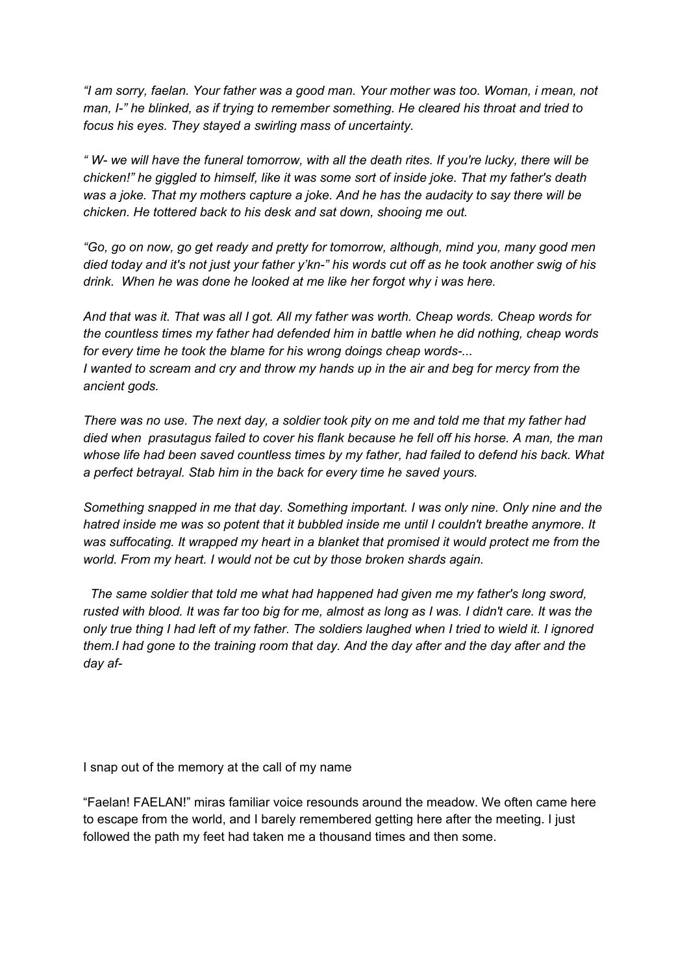*"I am sorry, faelan. Your father was a good man. Your mother was too. Woman, i mean, not man, I-" he blinked, as if trying to remember something. He cleared his throat and tried to focus his eyes. They stayed a swirling mass of uncertainty.*

"W- we will have the funeral tomorrow, with all the death rites. If you're lucky, there will be *chicken!" he giggled to himself, like it was some sort of inside joke. That my father's death was a joke. That my mothers capture a joke. And he has the audacity to say there will be chicken. He tottered back to his desk and sat down, shooing me out.*

*"Go, go on now, go get ready and pretty for tomorrow, although, mind you, many good men* died today and it's not just your father y'kn-" his words cut off as he took another swig of his *drink. When he was done he looked at me like her forgot why i was here.*

*And that was it. That was all I got. All my father was worth. Cheap words. Cheap words for the countless times my father had defended him in battle when he did nothing, cheap words for every time he took the blame for his wrong doings cheap words-...* I wanted to scream and cry and throw my hands up in the air and beg for mercy from the *ancient gods.*

There was no use. The next day, a soldier took pity on me and told me that my father had *died when prasutagus failed to cover his flank because he fell off his horse. A man, the man whose life had been saved countless times by my father, had failed to defend his back. What a perfect betrayal. Stab him in the back for every time he saved yours.*

*Something snapped in me that day. Something important. I was only nine. Only nine and the hatred inside me was so potent that it bubbled inside me until I couldn't breathe anymore. It was suffocating. It wrapped my heart in a blanket that promised it would protect me from the world. From my heart. I would not be cut by those broken shards again.*

*The same soldier that told me what had happened had given me my father's long sword,* rusted with blood. It was far too big for me, almost as long as I was. I didn't care. It was the only true thing I had left of my father. The soldiers laughed when I tried to wield it. I ignored *them.I had gone to the training room that day. And the day after and the day after and the day af-*

I snap out of the memory at the call of my name

"Faelan! FAELAN!" miras familiar voice resounds around the meadow. We often came here to escape from the world, and I barely remembered getting here after the meeting. I just followed the path my feet had taken me a thousand times and then some.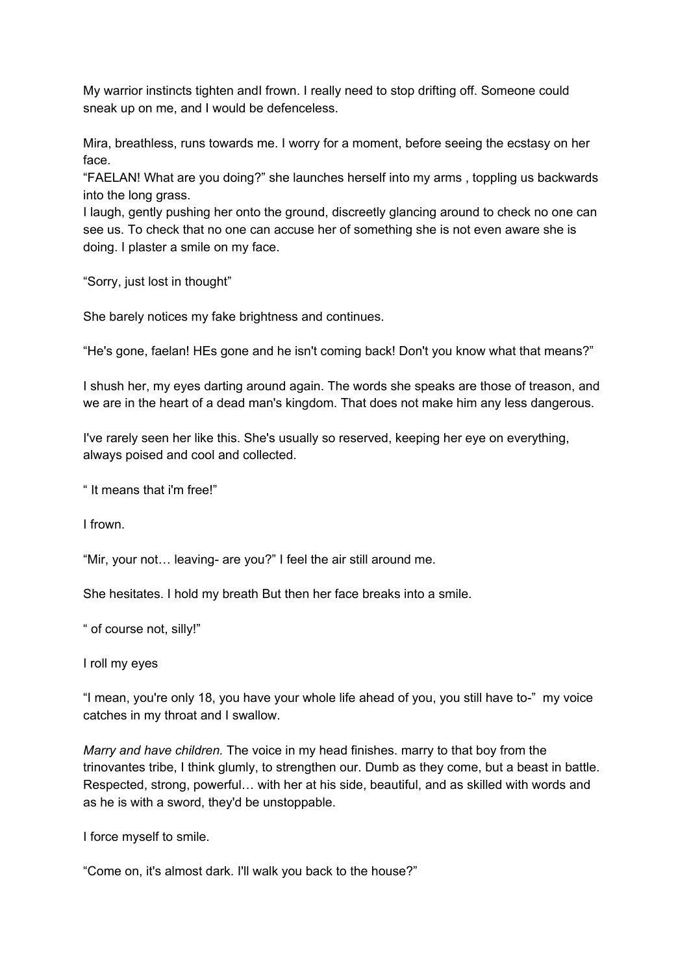My warrior instincts tighten andI frown. I really need to stop drifting off. Someone could sneak up on me, and I would be defenceless.

Mira, breathless, runs towards me. I worry for a moment, before seeing the ecstasy on her face.

"FAELAN! What are you doing?" she launches herself into my arms , toppling us backwards into the long grass.

I laugh, gently pushing her onto the ground, discreetly glancing around to check no one can see us. To check that no one can accuse her of something she is not even aware she is doing. I plaster a smile on my face.

"Sorry, just lost in thought"

She barely notices my fake brightness and continues.

"He's gone, faelan! HEs gone and he isn't coming back! Don't you know what that means?"

I shush her, my eyes darting around again. The words she speaks are those of treason, and we are in the heart of a dead man's kingdom. That does not make him any less dangerous.

I've rarely seen her like this. She's usually so reserved, keeping her eye on everything, always poised and cool and collected.

" It means that i'm free!"

I frown.

"Mir, your not… leaving- are you?" I feel the air still around me.

She hesitates. I hold my breath But then her face breaks into a smile.

" of course not, silly!"

I roll my eyes

"I mean, you're only 18, you have your whole life ahead of you, you still have to-" my voice catches in my throat and I swallow.

*Marry and have children.* The voice in my head finishes. marry to that boy from the trinovantes tribe, I think glumly, to strengthen our. Dumb as they come, but a beast in battle. Respected, strong, powerful… with her at his side, beautiful, and as skilled with words and as he is with a sword, they'd be unstoppable.

I force myself to smile.

"Come on, it's almost dark. I'll walk you back to the house?"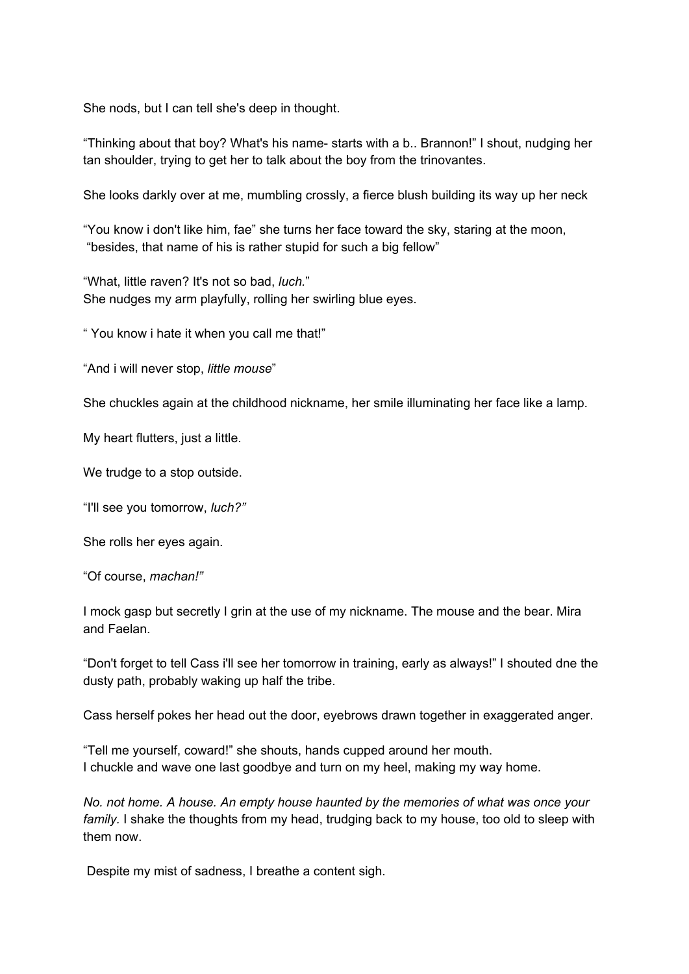She nods, but I can tell she's deep in thought.

"Thinking about that boy? What's his name- starts with a b.. Brannon!" I shout, nudging her tan shoulder, trying to get her to talk about the boy from the trinovantes.

She looks darkly over at me, mumbling crossly, a fierce blush building its way up her neck

"You know i don't like him, fae" she turns her face toward the sky, staring at the moon, "besides, that name of his is rather stupid for such a big fellow"

"What, little raven? It's not so bad, *luch.*" She nudges my arm playfully, rolling her swirling blue eyes.

" You know i hate it when you call me that!"

"And i will never stop, *little mouse*"

She chuckles again at the childhood nickname, her smile illuminating her face like a lamp.

My heart flutters, just a little.

We trudge to a stop outside.

"I'll see you tomorrow, *luch?"*

She rolls her eyes again.

"Of course, *machan!"*

I mock gasp but secretly I grin at the use of my nickname. The mouse and the bear. Mira and Faelan.

"Don't forget to tell Cass i'll see her tomorrow in training, early as always!" I shouted dne the dusty path, probably waking up half the tribe.

Cass herself pokes her head out the door, eyebrows drawn together in exaggerated anger.

"Tell me yourself, coward!" she shouts, hands cupped around her mouth. I chuckle and wave one last goodbye and turn on my heel, making my way home.

*No. not home. A house. An empty house haunted by the memories of what was once your family.* I shake the thoughts from my head, trudging back to my house, too old to sleep with them now.

Despite my mist of sadness, I breathe a content sigh.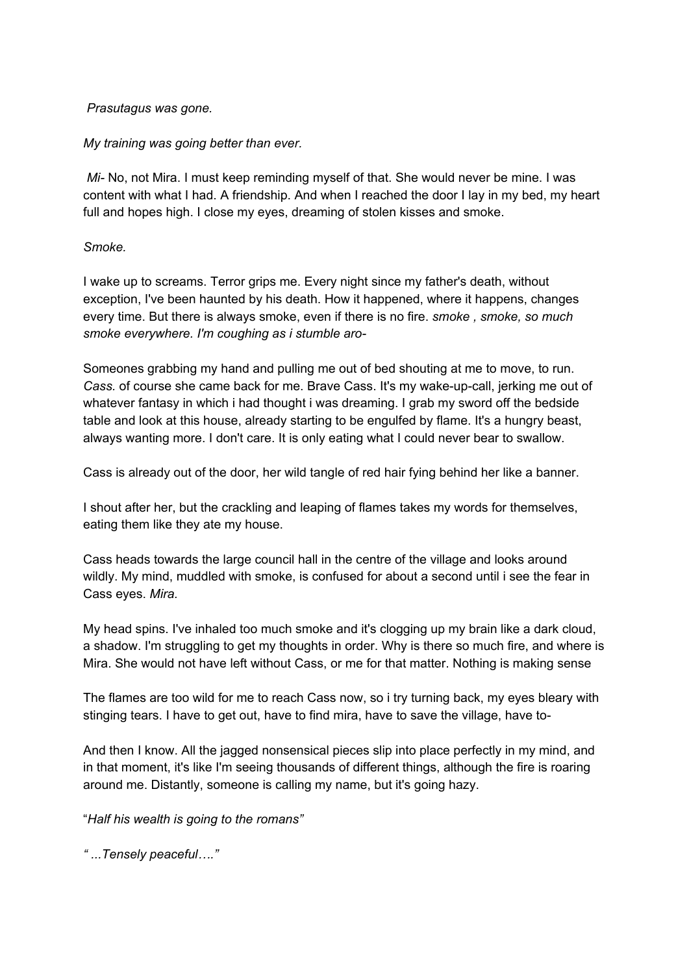## *Prasutagus was gone.*

## *My training was going better than ever.*

*Mi-* No, not Mira. I must keep reminding myself of that. She would never be mine. I was content with what I had. A friendship. And when I reached the door I lay in my bed, my heart full and hopes high. I close my eyes, dreaming of stolen kisses and smoke.

## *Smoke.*

I wake up to screams. Terror grips me. Every night since my father's death, without exception, I've been haunted by his death. How it happened, where it happens, changes every time. But there is always smoke, even if there is no fire. *smoke , smoke, so much smoke everywhere. I'm coughing as i stumble aro-*

Someones grabbing my hand and pulling me out of bed shouting at me to move, to run. *Cass.* of course she came back for me. Brave Cass. It's my wake-up-call, jerking me out of whatever fantasy in which i had thought i was dreaming. I grab my sword off the bedside table and look at this house, already starting to be engulfed by flame. It's a hungry beast, always wanting more. I don't care. It is only eating what I could never bear to swallow.

Cass is already out of the door, her wild tangle of red hair fying behind her like a banner.

I shout after her, but the crackling and leaping of flames takes my words for themselves, eating them like they ate my house.

Cass heads towards the large council hall in the centre of the village and looks around wildly. My mind, muddled with smoke, is confused for about a second until i see the fear in Cass eyes. *Mira.*

My head spins. I've inhaled too much smoke and it's clogging up my brain like a dark cloud, a shadow. I'm struggling to get my thoughts in order. Why is there so much fire, and where is Mira. She would not have left without Cass, or me for that matter. Nothing is making sense

The flames are too wild for me to reach Cass now, so i try turning back, my eyes bleary with stinging tears. I have to get out, have to find mira, have to save the village, have to-

And then I know. All the jagged nonsensical pieces slip into place perfectly in my mind, and in that moment, it's like I'm seeing thousands of different things, although the fire is roaring around me. Distantly, someone is calling my name, but it's going hazy.

"*Half his wealth is going to the romans"*

*" ...Tensely peaceful…."*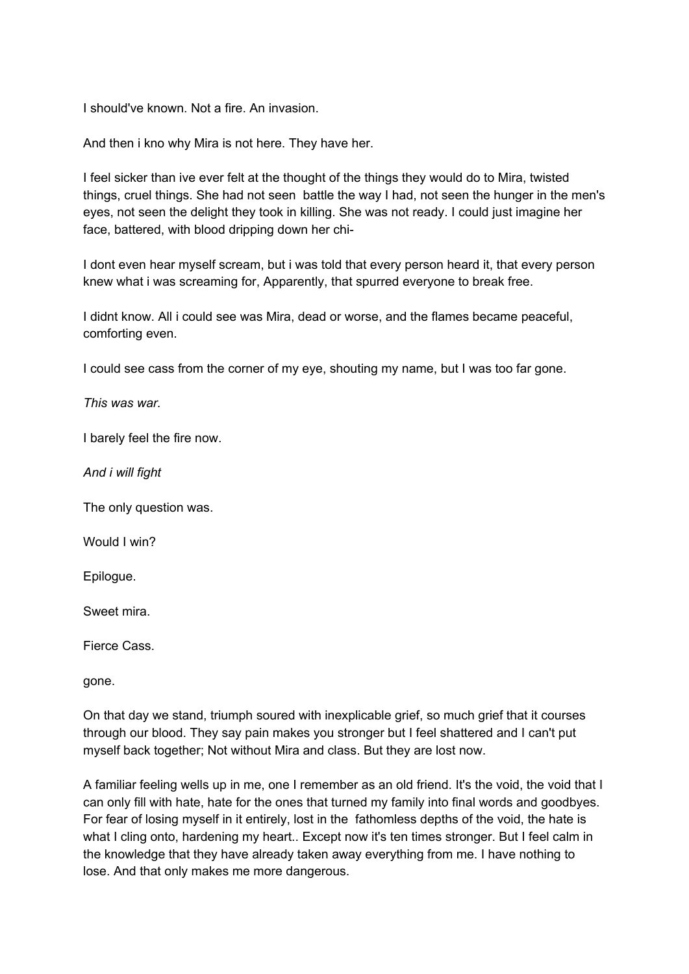I should've known. Not a fire. An invasion.

And then i kno why Mira is not here. They have her.

I feel sicker than ive ever felt at the thought of the things they would do to Mira, twisted things, cruel things. She had not seen battle the way I had, not seen the hunger in the men's eyes, not seen the delight they took in killing. She was not ready. I could just imagine her face, battered, with blood dripping down her chi-

I dont even hear myself scream, but i was told that every person heard it, that every person knew what i was screaming for, Apparently, that spurred everyone to break free.

I didnt know. All i could see was Mira, dead or worse, and the flames became peaceful, comforting even.

I could see cass from the corner of my eye, shouting my name, but I was too far gone.

*This was war.*

I barely feel the fire now.

*And i will fight*

The only question was.

Would I win?

Epilogue.

Sweet mira.

Fierce Cass.

gone.

On that day we stand, triumph soured with inexplicable grief, so much grief that it courses through our blood. They say pain makes you stronger but I feel shattered and I can't put myself back together; Not without Mira and class. But they are lost now.

A familiar feeling wells up in me, one I remember as an old friend. It's the void, the void that I can only fill with hate, hate for the ones that turned my family into final words and goodbyes. For fear of losing myself in it entirely, lost in the fathomless depths of the void, the hate is what I cling onto, hardening my heart.. Except now it's ten times stronger. But I feel calm in the knowledge that they have already taken away everything from me. I have nothing to lose. And that only makes me more dangerous.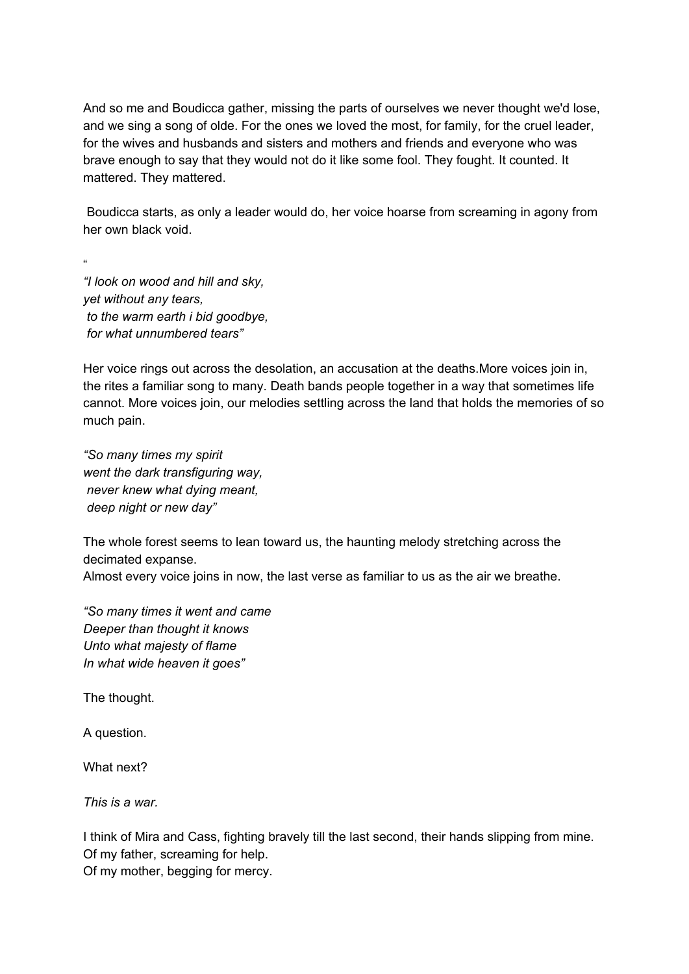And so me and Boudicca gather, missing the parts of ourselves we never thought we'd lose, and we sing a song of olde. For the ones we loved the most, for family, for the cruel leader, for the wives and husbands and sisters and mothers and friends and everyone who was brave enough to say that they would not do it like some fool. They fought. It counted. It mattered. They mattered.

Boudicca starts, as only a leader would do, her voice hoarse from screaming in agony from her own black void.

" *"I look on wood and hill and sky, yet without any tears, to the warm earth i bid goodbye, for what unnumbered tears"*

Her voice rings out across the desolation, an accusation at the deaths.More voices join in, the rites a familiar song to many. Death bands people together in a way that sometimes life cannot. More voices join, our melodies settling across the land that holds the memories of so much pain.

*"So many times my spirit went the dark transfiguring way, never knew what dying meant, deep night or new day"*

The whole forest seems to lean toward us, the haunting melody stretching across the decimated expanse.

Almost every voice joins in now, the last verse as familiar to us as the air we breathe.

*"So many times it went and came Deeper than thought it knows Unto what majesty of flame In what wide heaven it goes"*

The thought.

A question.

What next?

*This is a war.*

I think of Mira and Cass, fighting bravely till the last second, their hands slipping from mine. Of my father, screaming for help.

Of my mother, begging for mercy.